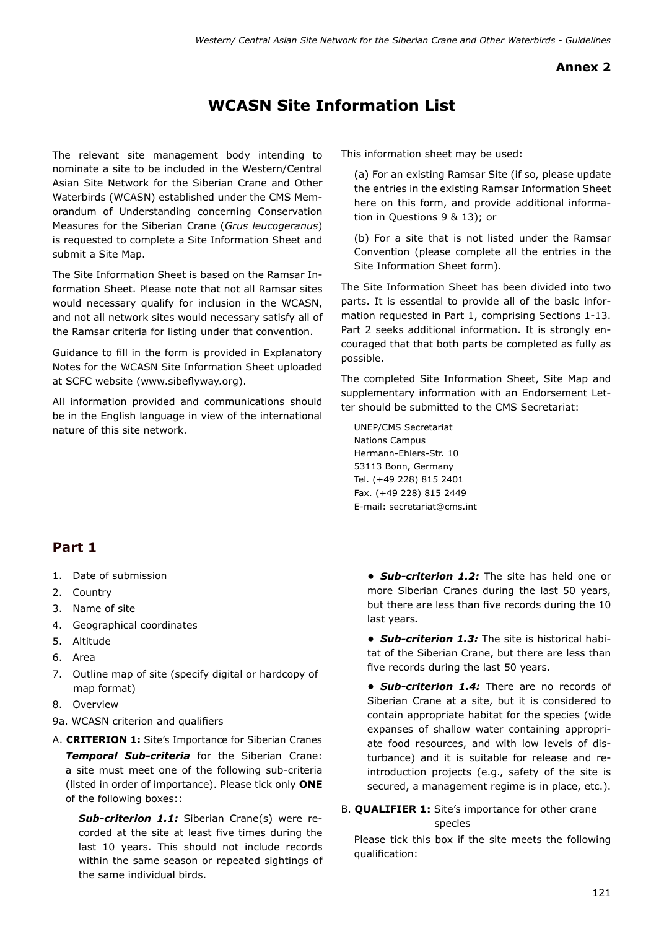## **Annex 2**

## **WCASN Site Information List**

The relevant site management body intending to nominate a site to be included in the Western/Central Asian Site Network for the Siberian Crane and Other Waterbirds (WCASN) established under the CMS Memorandum of Understanding concerning Conservation Measures for the Siberian Crane (*Grus leucogeranus*) is requested to complete a Site Information Sheet and submit a Site Map.

The Site Information Sheet is based on the Ramsar Information Sheet. Please note that not all Ramsar sites would necessary qualify for inclusion in the WCASN, and not all network sites would necessary satisfy all of the Ramsar criteria for listing under that convention.

Guidance to fill in the form is provided in Explanatory Notes for the WCASN Site Information Sheet uploaded at SCFC website (www.sibeflyway.org).

All information provided and communications should be in the English language in view of the international nature of this site network.

**Part 1**

- 1. Date of submission
- 2. Country
- 3. Name of site
- 4. Geographical coordinates
- 5. Altitude
- 6. Area
- 7. Outline map of site (specify digital or hardcopy of map format)
- 8. Overview
- 9a. WCASN criterion and qualifiers
- A. **CRITERION 1:** Site's Importance for Siberian Cranes *Temporal Sub-criteria* for the Siberian Crane: a site must meet one of the following sub-criteria (listed in order of importance). Please tick only **ONE** of the following boxes::

*Sub-criterion 1.1:* Siberian Crane(s) were recorded at the site at least five times during the last 10 years. This should not include records within the same season or repeated sightings of the same individual birds.

This information sheet may be used:

(a) For an existing Ramsar Site (if so, please update the entries in the existing Ramsar Information Sheet here on this form, and provide additional information in Questions 9 & 13); or

(b) For a site that is not listed under the Ramsar Convention (please complete all the entries in the Site Information Sheet form).

The Site Information Sheet has been divided into two parts. It is essential to provide all of the basic information requested in Part 1, comprising Sections 1-13. Part 2 seeks additional information. It is strongly encouraged that that both parts be completed as fully as possible.

The completed Site Information Sheet, Site Map and supplementary information with an Endorsement Letter should be submitted to the CMS Secretariat:

UNEP/CMS Secretariat Nations Campus Hermann-Ehlers-Str. 10 53113 Bonn, Germany Tel. (+49 228) 815 2401 Fax. (+49 228) 815 2449 E-mail: secretariat@cms.int

> *• Sub-criterion 1.2:* The site has held one or more Siberian Cranes during the last 50 years, but there are less than five records during the 10 last years*.*

> *• Sub-criterion 1.3:* The site is historical habitat of the Siberian Crane, but there are less than five records during the last 50 years.

> *• Sub-criterion 1.4:* There are no records of Siberian Crane at a site, but it is considered to contain appropriate habitat for the species (wide expanses of shallow water containing appropriate food resources, and with low levels of disturbance) and it is suitable for release and reintroduction projects (e.g., safety of the site is secured, a management regime is in place, etc.).

## B. **QUALIFIER 1:** Site's importance for other crane species

Please tick this box if the site meets the following qualification: